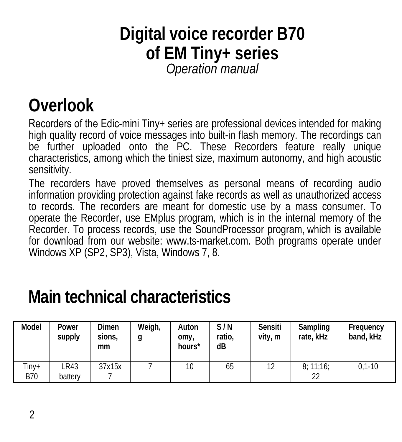#### **Digital voice recorder B70 of EM Tiny+ series** *Operation manual*

#### **Overlook**

Recorders of the Edic-mini Tiny+ series are professional devices intended for making high quality record of voice messages into built-in flash memory. The recordings can be further uploaded onto the PC. These Recorders feature really unique characteristics, among which the tiniest size, maximum autonomy, and high acoustic sensitivity.

The recorders have proved themselves as personal means of recording audio information providing protection against fake records as well as unauthorized access to records. The recorders are meant for domestic use by a mass consumer. To operate the Recorder, use EMplus program, which is in the internal memory of the Recorder. To process records, use the SoundProcessor program, which is available for download from our website: www.ts-market.com. Both programs operate under Windows XP (SP2, SP3), Vista, Windows 7, 8.

#### **Main technical characteristics**

| Model               | Power<br>supply | Dimen<br>sions.<br>mm | Weigh,<br>g | Auton<br>omy,<br>hours* | S/N<br>ratio.<br>dB | Sensiti<br>vity, m | Sampling<br>rate. kHz | Frequency<br>band, kHz |
|---------------------|-----------------|-----------------------|-------------|-------------------------|---------------------|--------------------|-----------------------|------------------------|
| Tiny+<br><b>B70</b> | ∟R43<br>battery | 37x15x                |             | 10                      | 65                  | 12                 | 8:11:16:<br>22        | $0.1 - 10$             |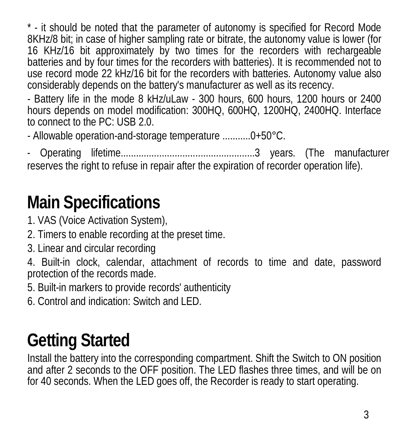\* - it should be noted that the parameter of autonomy is specified for Record Mode 8KHz/8 bit; in case of higher sampling rate or bitrate, the autonomy value is lower (for 16 KHz/16 bit approximately by two times for the recorders with rechargeable batteries and by four times for the recorders with batteries). It is recommended not to use record mode 22 kHz/16 bit for the recorders with batteries. Autonomy value also considerably depends on the battery's manufacturer as well as its recency.

- Battery life in the mode 8 kHz/uLaw - 300 hours, 600 hours, 1200 hours or 2400 hours depends on model modification: 300HQ, 600HQ, 1200HQ, 2400HQ. Interface to connect to the PC: USB 2.0.

- Allowable operation-and-storage temperature ...........0+50°C.

- Operating lifetime....................................................3 years. (The manufacturer reserves the right to refuse in repair after the expiration of recorder operation life).

## **Main Specifications**

- 1. VAS (Voice Activation System),
- 2. Timers to enable recording at the preset time.
- 3. Linear and circular recording

4. Built-in clock, calendar, attachment of records to time and date, password protection of the records made.

5. Built-in markers to provide records' authenticity

6. Control and indication: Switch and LED.

# **Getting Started**

Install the battery into the corresponding compartment. Shift the Switch to ON position and after 2 seconds to the OFF position. The LED flashes three times, and will be on for 40 seconds. When the LED goes off, the Recorder is ready to start operating.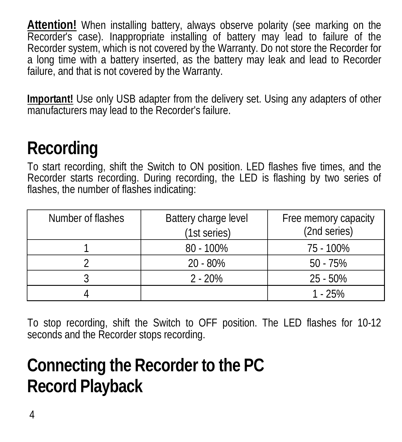**Attention!** When installing battery, always observe polarity (see marking on the Recorder's case). Inappropriate installing of battery may lead to failure of the Recorder system, which is not covered by the Warranty. Do not store the Recorder for a long time with a battery inserted, as the battery may leak and lead to Recorder failure, and that is not covered by the Warranty.

**Important!** Use only USB adapter from the delivery set. Using any adapters of other manufacturers may lead to the Recorder's failure.

### **Recording**

To start recording, shift the Switch to ON position. LED flashes five times, and the Recorder starts recording. During recording, the LED is flashing by two series of flashes, the number of flashes indicating:

| Number of flashes | Battery charge level<br>(1st series) | Free memory capacity<br>(2nd series) |
|-------------------|--------------------------------------|--------------------------------------|
|                   | $80 - 100\%$                         | 75 - 100%                            |
|                   | 20 - 80%                             | $50 - 75%$                           |
|                   | $2 - 20%$                            | 25 - 50%                             |
|                   |                                      | $1 - 25%$                            |

To stop recording, shift the Switch to OFF position. The LED flashes for 10-12 seconds and the Recorder stops recording.

# **Connecting the Recorder to the PC Record Playback**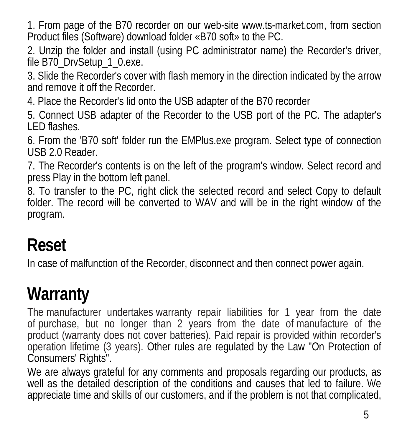1. From page of the B70 recorder on our web-site www.ts-market.com, from section Product files (Software) download folder «B70 soft» to the PC.

2. Unzip the folder and install (using PC administrator name) the Recorder's driver, file B70\_DrvSetup\_1\_0.exe.

3. Slide the Recorder's cover with flash memory in the direction indicated by the arrow and remove it off the Recorder.

4. Place the Recorder's lid onto the USB adapter of the B70 recorder

5. Connect USB adapter of the Recorder to the USB port of the PC. The adapter's LED flashes.

6. From the 'B70 soft' folder run the EMPlus.exe program. Select type of connection USB 2.0 Reader.

7. The Recorder's contents is on the left of the program's window. Select record and press Play in the bottom left panel.

8. To transfer to the PC, right click the selected record and select Copy to default folder. The record will be converted to WAV and will be in the right window of the program.

### **Reset**

In case of malfunction of the Recorder, disconnect and then connect power again.

### **Warranty**

The manufacturer undertakes warranty repair liabilities for 1 year from the date of purchase, but no longer than 2 years from the date of manufacture of the product (warranty does not cover batteries). Paid repair is provided within recorder's operation lifetime (3 years). Other rules are regulated by the Law "On Protection of Consumers' Rights".

We are always grateful for any comments and proposals regarding our products, as well as the detailed description of the conditions and causes that led to failure. We appreciate time and skills of our customers, and if the problem is not that complicated,